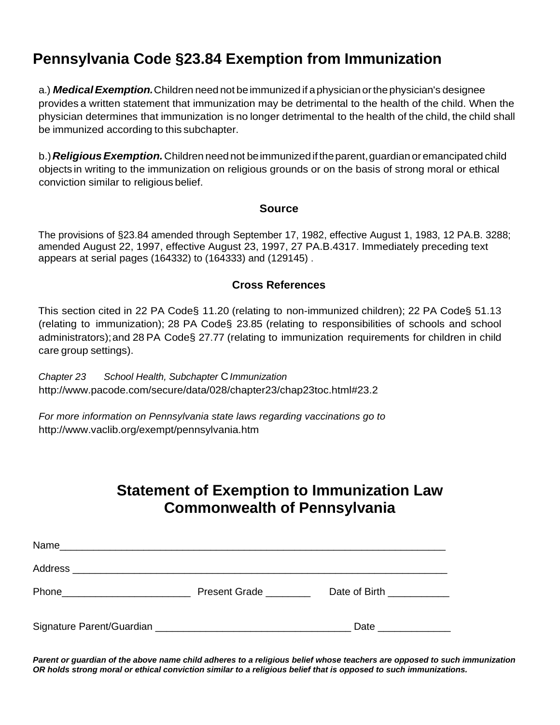# **Pennsylvania Code §23.84 Exemption from Immunization**

a.) **Medical Exemption.** Children need not be immunized if a physician or the physician's designee provides a written statement that immunization may be detrimental to the health of the child. When the physician determines that immunization is no longer detrimental to the health of the child, the child shall be immunized according to this subchapter.

b.)*ReligiousExemption.*Children need not beimmunizedif theparent,guardian oremancipated child objects in writing to the immunization on religious grounds or on the basis of strong moral or ethical conviction similar to religious belief.

#### **Source**

The provisions of §23.84 amended through September 17, 1982, effective August 1, 1983, 12 PA.B. 3288; amended August 22, 1997, effective August 23, 1997, 27 PA.B.4317. Immediately preceding text appears at serial pages (164332) to (164333) and (129145) .

#### **Cross References**

This section cited in 22 PA Code§ 11.20 (relating to non-immunized children); 22 PA Code§ 51.13 (relating to immunization); 28 PA Code§ 23.85 (relating to responsibilities of schools and school administrators);and 28 PA Code§ 27.77 (relating to immunization requirements for children in child care group settings).

*Chapter 23 School Health, Subchapter* C*Immunization* <http://www.pacode.com/secure/data/028/chapter23/chap23toc.html#23.2>

*For more information on Pennsylvania state laws regarding vaccinations go to* <http://www.vaclib.org/exempt/pennsylvania.htm>

# **Statement of Exemption to Immunization Law Commonwealth of Pennsylvania**

| Name<br><u> 1999 - Jan James James, maria eta batarra (h. 1982).</u> |               |                           |  |
|----------------------------------------------------------------------|---------------|---------------------------|--|
|                                                                      |               |                           |  |
|                                                                      | Present Grade | Date of Birth ___________ |  |
|                                                                      |               | Date                      |  |

*Parent or guardian of the above name child adheres to a religious belief whose teachers are opposed to such immunization OR holds strong moral or ethical conviction similar to a religious belief that is opposed to such immunizations.*